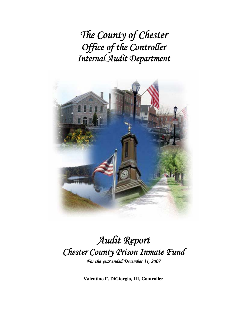*The County of Chester Office of the Controller Internal Audit Department*



# *Audit Report Chester County Prison Inmate Fund For the year ended December 31, 2007*

**Valentino F. DiGiorgio, III, Controller**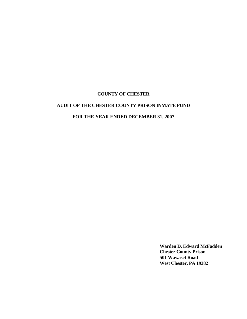# **AUDIT OF THE CHESTER COUNTY PRISON INMATE FUND**

# **FOR THE YEAR ENDED DECEMBER 31, 2007**

**Warden D. Edward McFadden Chester County Prison 501 Wawaset Road West Chester, PA 19382**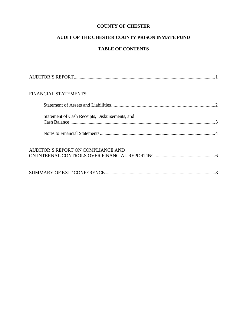# **AUDIT OF THE CHESTER COUNTY PRISON INMATE FUND**

# **TABLE OF CONTENTS**

| FINANCIAL STATEMENTS:                          |  |
|------------------------------------------------|--|
|                                                |  |
| Statement of Cash Receipts, Disbursements, and |  |
|                                                |  |
| AUDITOR'S REPORT ON COMPLIANCE AND             |  |
|                                                |  |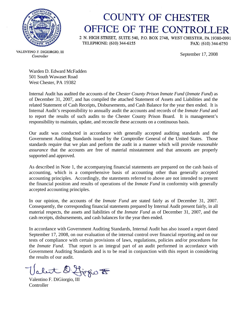

# **COUNTY OF CHESTER** OFFICE OF THE CONTROLLER

2 N. HIGH STREET, SUITE 540, P.O. BOX 2748, WEST CHESTER, PA 19380-0991 TELEPHONE: (610) 344-6155 FAX: (610) 344-6750

September 17, 2008

VALENTINO F. DIGIORGIO, III Controller

Warden D. Edward McFadden 501 South Wawaset Road West Chester, PA 19382

Internal Audit has audited the accounts of the *Chester County Prison Inmate Fund* (*Inmate Fund*) as of December 31, 2007, and has compiled the attached Statement of Assets and Liabilities and the related Statement of Cash Receipts, Disbursements, and Cash Balance for the year then ended. It is Internal Audit's responsibility to annually audit the accounts and records of the *Inmate Fund* and to report the results of such audits to the Chester County Prison Board. It is management's responsibility to maintain, update, and reconcile these accounts on a continuous basis.

Our audit was conducted in accordance with generally accepted auditing standards and the Government Auditing Standards issued by the Comptroller General of the United States. Those standards require that we plan and perform the audit in a manner which will provide *reasonable assurance* that the accounts are free of material misstatement and that amounts are properly supported and approved.

As described in Note 1, the accompanying financial statements are prepared on the cash basis of accounting, which is a comprehensive basis of accounting other than generally accepted accounting principles. Accordingly, the statements referred to above are not intended to present the financial position and results of operations of the *Inmate Fund* in conformity with generally accepted accounting principles.

In our opinion, the accounts of the *Inmate Fund* are stated fairly as of December 31, 2007. Consequently, the corresponding financial statements prepared by Internal Audit present fairly, in all material respects, the assets and liabilities of the *Inmate Fund* as of December 31, 2007, and the cash receipts, disbursements, and cash balances for the year then ended.

In accordance with Government Auditing Standards, Internal Audit has also issued a report dated September 17, 2008, on our evaluation of the internal control over financial reporting and on our tests of compliance with certain provisions of laws, regulations, policies and/or procedures for the *Inmate Fund*. That report is an integral part of an audit performed in accordance with Government Auditing Standards and is to be read in conjunction with this report in considering the results of our audit.

Valentino F. DiGiorgio To

**Controller**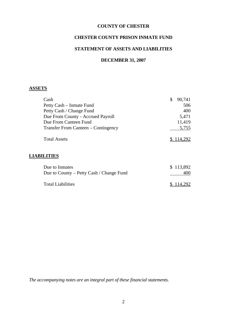#### **CHESTER COUNTY PRISON INMATE FUND**

# **STATEMENT OF ASSETS AND LIABILITIES**

#### **DECEMBER 31, 2007**

# **ASSETS**

| Cash                                | 90,741    |
|-------------------------------------|-----------|
| Petty Cash – Inmate Fund            | 506       |
| Petty Cash / Change Fund            | 400       |
| Due From County - Accrued Payroll   | 5,471     |
| Due From Canteen Fund               | 11,419    |
| Transfer From Canteen – Contingency | 5,755     |
| <b>Total Assets</b>                 | \$114,292 |
|                                     |           |

# **LIABILITIES**

| Due to Inmates                           | \$113,892 |
|------------------------------------------|-----------|
| Due to County – Petty Cash / Change Fund | 400.      |
| <b>Total Liabilities</b>                 | \$114,292 |

*The accompanying notes are an integral part of these financial statements.*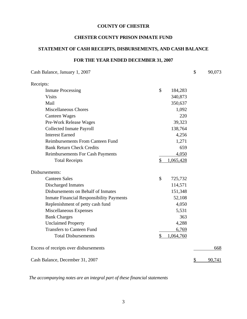#### **CHESTER COUNTY PRISON INMATE FUND**

# **STATEMENT OF CASH RECEIPTS, DISBURSEMENTS, AND CASH BALANCE**

# **FOR THE YEAR ENDED DECEMBER 31, 2007**

| Cash Balance, January 1, 2007                             | $\mathcal{S}$ | 90,073 |
|-----------------------------------------------------------|---------------|--------|
| Receipts:                                                 |               |        |
| \$<br><b>Inmate Processing</b><br>184,283                 |               |        |
| <b>Visits</b><br>340,873                                  |               |        |
| 350,637<br>Mail                                           |               |        |
| <b>Miscellaneous Chores</b><br>1,092                      |               |        |
| <b>Canteen Wages</b>                                      | 220           |        |
| 39,323<br>Pre-Work Release Wages                          |               |        |
| <b>Collected Inmate Payroll</b><br>138,764                |               |        |
| <b>Interest Earned</b><br>4,256                           |               |        |
| <b>Reimbursements From Canteen Fund</b><br>1,271          |               |        |
| <b>Bank Return Check Credits</b>                          | 659           |        |
| 4,050<br><b>Reimbursements For Cash Payments</b>          |               |        |
| \$<br>1,065,428<br><b>Total Receipts</b>                  |               |        |
| Disbursements:                                            |               |        |
| \$<br><b>Canteen Sales</b><br>725,732                     |               |        |
| <b>Discharged Inmates</b><br>114,571                      |               |        |
| Disbursements on Behalf of Inmates<br>151,348             |               |        |
| <b>Inmate Financial Responsibility Payments</b><br>52,108 |               |        |
| 4,050<br>Replenishment of petty cash fund                 |               |        |
| Miscellaneous Expenses<br>5,531                           |               |        |
| <b>Bank Charges</b>                                       | 363           |        |
| <b>Unclaimed Property</b><br>4,288                        |               |        |
| <b>Transfers to Canteen Fund</b><br>6,769                 |               |        |
| <b>Total Disbursements</b><br>\$<br>1,064,760             |               |        |
| Excess of receipts over disbursements                     |               | 668    |
| Cash Balance, December 31, 2007                           | S             | 90,741 |

*The accompanying notes are an integral part of these financial statements*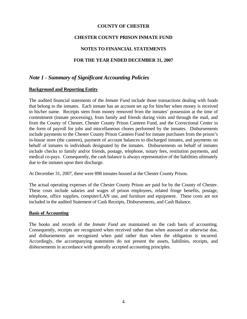#### **CHESTER COUNTY PRISON INMATE FUND**

#### **NOTES TO FINANCIAL STATEMENTS**

#### **FOR THE YEAR ENDED DECEMBER 31, 2007**

# *Note 1 - Summary of Significant Accounting Policies*

#### **Background and Reporting Entity**

The audited financial statements of the *Inmate Fund* include those transactions dealing with funds that belong to the inmates. Each inmate has an account set up for him/her when money is received in his/her name. Receipts stem from money removed from the inmates' possession at the time of commitment (inmate processing), from family and friends during visits and through the mail, and from the County of Chester, Chester County Prison Canteen Fund, and the Correctional Center in the form of payroll for jobs and miscellaneous chores performed by the inmates. Disbursements include payments to the Chester County Prison Canteen Fund for inmate purchases from the prison's in-house store (the canteen), payment of account balances to discharged inmates, and payments on behalf of inmates to individuals designated by the inmates. Disbursements on behalf of inmates include checks to family and/or friends, postage, telephone, notary fees, restitution payments, and medical co-pays. Consequently, the cash balance is always representative of the liabilities ultimately due to the inmates upon their discharge.

At December 31, 2007, there were 898 inmates housed at the Chester County Prison.

The actual operating expenses of the Chester County Prison are paid for by the County of Chester. These costs include salaries and wages of prison employees, related fringe benefits, postage, telephone, office supplies, computer/LAN use, and furniture and equipment. These costs are not included in the audited Statement of Cash Receipts, Disbursements, and Cash Balance.

#### **Basis of Accounting**

The books and records of the *Inmate Fund* are maintained on the cash basis of accounting. Consequently, receipts are recognized when received rather than when assessed or otherwise due, and disbursements are recognized when paid rather than when the obligation is incurred. Accordingly, the accompanying statements do not present the assets, liabilities, receipts, and disbursements in accordance with generally accepted accounting principles.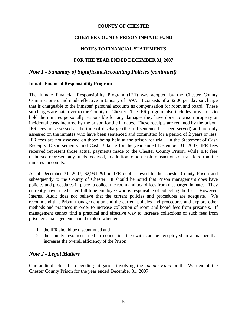#### **CHESTER COUNTY PRISON INMATE FUND**

#### **NOTES TO FINANCIAL STATEMENTS**

#### **FOR THE YEAR ENDED DECEMBER 31, 2007**

# *Note 1 - Summary of Significant Accounting Policies (continued)*

#### **Inmate Financial Responsibility Program**

The Inmate Financial Responsibility Program (IFR) was adopted by the Chester County Commissioners and made effective in January of 1997. It consists of a \$2.00 per day surcharge that is chargeable to the inmates' personal accounts as compensation for room and board. These surcharges are paid over to the County of Chester. The IFR program also includes provisions to hold the inmates personally responsible for any damages they have done to prison property or incidental costs incurred by the prison for the inmates. These receipts are retained by the prison. IFR fees are assessed at the time of discharge (the full sentence has been served) and are only assessed on the inmates who have been sentenced and committed for a period of 2 years or less. IFR fees are not assessed on those being held at the prison for trial. In the Statement of Cash Receipts, Disbursements, and Cash Balance for the year ended December 31, 2007, IFR fees received represent those actual payments made to the Chester County Prison, while IFR fees disbursed represent any funds received, in addition to non-cash transactions of transfers from the inmates' accounts.

As of December 31, 2007, \$2,991,291 in IFR debt is owed to the Chester County Prison and subsequently to the County of Chester. It should be noted that Prison management does have policies and procedures in place to collect the room and board fees from discharged inmates. They currently have a dedicated full-time employee who is responsible of collecting the fees. However, Internal Audit does not believe that the current policies and procedures are adequate. We recommend that Prison management amend the current policies and procedures and explore other methods and practices in order to increase collection of room and board fees from prisoners. If management cannot find a practical and effective way to increase collections of such fees from prisoners, management should explore whether:

- 1. the IFR should be discontinued and
- 2. the county resources used in connection therewith can be redeployed in a manner that increases the overall efficiency of the Prison.

#### *Note 2 - Legal Matters*

Our audit disclosed no pending litigation involving the *Inmate Fund* or the Warden of the Chester County Prison for the year ended December 31, 2007.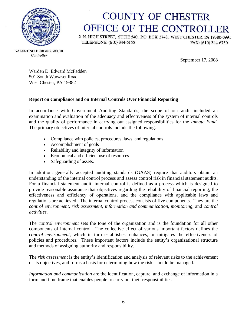

# **COUNTY OF CHESTER** OFFICE OF THE CONTROLLER

2 N. HIGH STREET, SUITE 540, P.O. BOX 2748, WEST CHESTER, PA 19380-0991 TELEPHONE: (610) 344-6155 FAX: (610) 344-6750

VALENTINO F. DIGIORGIO, III Controller

September 17, 2008

Warden D. Edward McFadden 501 South Wawaset Road West Chester, PA 19382

### **Report on Compliance and on Internal Controls Over Financial Reporting**

In accordance with Government Auditing Standards, the scope of our audit included an examination and evaluation of the adequacy and effectiveness of the system of internal controls and the quality of performance in carrying out assigned responsibilities for the *Inmate Fund*. The primary objectives of internal controls include the following:

- Compliance with policies, procedures, laws, and regulations
- Accomplishment of goals
- Reliability and integrity of information
- Economical and efficient use of resources
- Safeguarding of assets.

In addition, generally accepted auditing standards (GAAS) require that auditors obtain an understanding of the internal control process and assess control risk in financial statement audits. For a financial statement audit, internal control is defined as a process which is designed to provide reasonable assurance that objectives regarding the reliability of financial reporting, the effectiveness and efficiency of operations, and the compliance with applicable laws and regulations are achieved. The internal control process consists of five components. They are the *control environment*, *risk assessment*, *information and communication*, *monitoring*, and *control activities*.

The *control environment* sets the tone of the organization and is the foundation for all other components of internal control. The collective effect of various important factors defines the *control environment*, which in turn establishes, enhances, or mitigates the effectiveness of policies and procedures. These important factors include the entity's organizational structure and methods of assigning authority and responsibility.

The *risk assessment* is the entity's identification and analysis of relevant risks to the achievement of its objectives, and forms a basis for determining how the risks should be managed.

*Information and communication* are the identification, capture, and exchange of information in a form and time frame that enables people to carry out their responsibilities.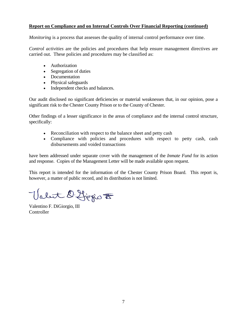#### **Report on Compliance and on Internal Controls Over Financial Reporting (continued)**

*Monitoring* is a process that assesses the quality of internal control performance over time.

*Control activities* are the policies and procedures that help ensure management directives are carried out. These policies and procedures may be classified as:

- Authorization
- Segregation of duties
- Documentation
- Physical safeguards
- Independent checks and balances.

Our audit disclosed no significant deficiencies or material weaknesses that, in our opinion, pose a significant risk to the Chester County Prison or to the County of Chester.

Other findings of a lesser significance in the areas of compliance and the internal control structure, specifically:

- Reconciliation with respect to the balance sheet and petty cash
- Compliance with policies and procedures with respect to petty cash, cash disbursements and voided transactions

have been addressed under separate cover with the management of the *Inmate Fund* for its action and response. Copies of the Management Letter will be made available upon request.

This report is intended for the information of the Chester County Prison Board. This report is, however, a matter of public record, and its distribution is not limited.

Valet D. Ljegio to

Valentino F. DiGiorgio, III **Controller**